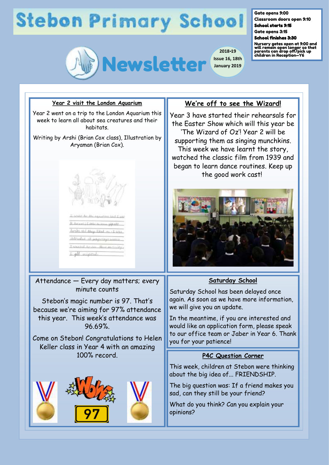# **Stebon Primary School**



**2018-19 Issue 16, 18th January 2019**

Gate opens 9:00

Classroom doors open 9:10 School starts 9:15

Gate opens 3:15 School finishes 3:30

Nursery gates open at 9:00 and will remain open longer so that parents can drop off/pick up children in Reception—Y6

#### **Year 2 visit the London Aquarium**

Year 2 went on a trip to the London Aquarium this week to learn all about sea creatures and their habitats.

Writing by Arshi (Brian Cox class), Illustration by Aryaman (Brian Cox).



Attendance — Every day matters; every minute counts

Stebon's magic number is 97. That's because we're aiming for 97% attendance this year. This week's attendance was 96.69%.

Come on Stebon! Congratulations to Helen Keller class in Year 4 with an amazing 100% record.



#### **We're off to see the Wizard!**

Year 3 have started their rehearsals for the Easter Show which will this year be 'The Wizard of Oz'! Year 2 will be supporting them as singing munchkins. This week we have learnt the story, watched the classic film from 1939 and began to learn dance routines. Keep up the good work cast!



### **Saturday School**

Saturday School has been delayed once again. As soon as we have more information, we will give you an update.

In the meantime, if you are interested and would like an application form, please speak to our office team or Jaber in Year 6. Thank you for your patience!

#### **P4C Question Corner**

This week, children at Stebon were thinking about the big idea of... FRIENDSHIP.

The big question was: If a friend makes you sad, can they still be your friend?

What do you think? Can you explain your opinions?